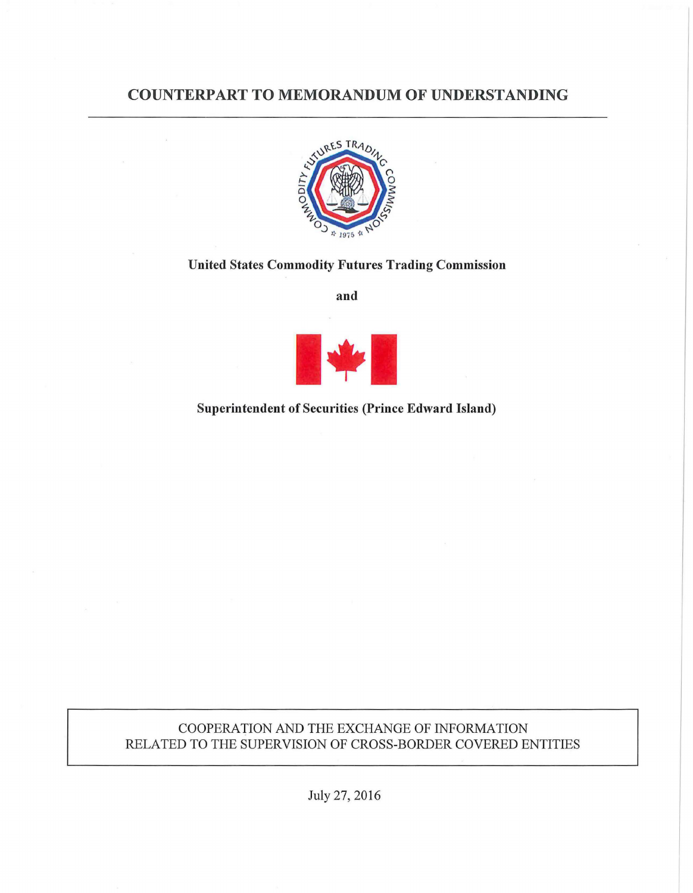# COUNTERPART TO MEMORANDUM OF UNDERSTANDING



### United States Commodity Futures Trading Commission

and



## Superintendent of Securities (Prince Edward Island)

## COOPERATION AND THE EXCHANGE OF INFORMATION RELATED TO THE SUPERVISION OF CROSS-BORDER COVERED ENTITIES

July 27, 2016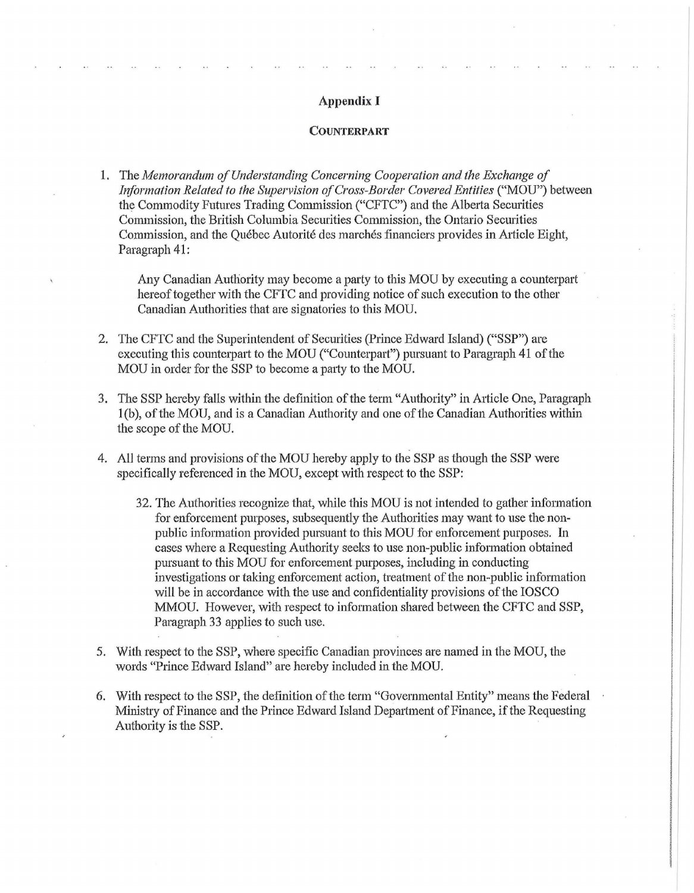#### Appendix I

#### COUNTERPART

1. The Memorandum of Understanding Concerning Cooperation and the Exchange of *Information Related to the Supervision of Cross-Border Covered Entities ("MOU")* between the Commodity Futures Trading Commission ("CFTC") and the Alberta Securities Commission, the British Columbia Securities Conunission, the Ontario Securities Commission, and the Québec Autorité des marchés financiers provides in Article Eight, Paragraph 41:

Any Canadian Authority may become a party to this MOU by executing a counterpart hereof together with the CFTC and providing notice of such execution to the other Canadian Authorities that are signatories to this MOU.

- 2. The CFTC and the Superintendent of Securities (Prince Edward Island) ("SSP") are executing this counterpart to the MOU ("Counterpart") pursuant to Paragraph 41 of the MOU in order for the SSP to become a paity to the MOU.
- 3. The SSP hereby falls within the definition of the term "Authority" in Article One, Paragraph 1(b), of the MOU, and is a Canadian Authority and one of the Canadian Authorities within the scope of the MOU.
- 4. All terms and provisions of the MOU hereby apply to the SSP as though the SSP were specifically referenced in the MOU, except with respect to the SSP:
	- 32. The Authorities recognize that, while this MOU is not intended to gather information for enforcement purposes, subsequently the Authorities may want to use the non public information provided pursuant to this MOU for enforcement purposes. In cases where a Requesting Authority seeks to use non-public information obtained pursuant to this MOU for enforcement purposes, including in conducting investigations or taking enforcement action, treatment of the non-public information will be in accordance with the use and confidentiality provisions of the IOSCO MMOU. However, with respect to information shared between the CFTC and SSP, Paragraph 33 applies to such use.
- 5. With respect to the SSP, where specific Canadian provinces are named in the MOU, the words "Prince Edward Island" are hereby included in the MOU.
- 6. With respect to the SSP, the definition of the term "Governmental Entity" means the Federal Ministry of Finance and the Prince Edward Island Department of Finance, if the Requesting Authority is the SSP.

'I

le de la companya de la companya de la companya de la companya de la companya de la companya de la companya de<br>La companya de la companya de la companya de la companya de la companya de la companya de la companya de la co